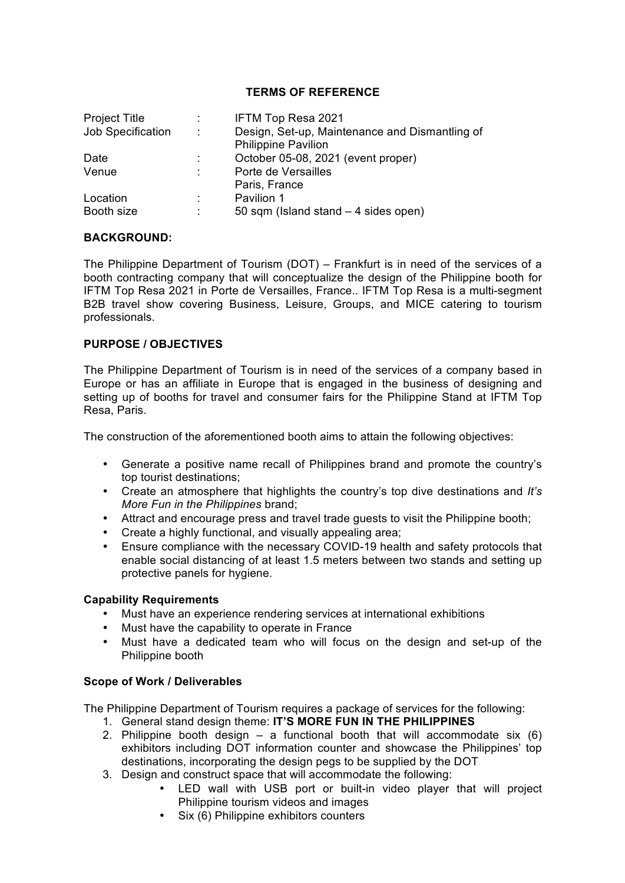## **TERMS OF REFERENCE**

| <b>Project Title</b> | ÷. | IFTM Top Resa 2021                             |
|----------------------|----|------------------------------------------------|
| Job Specification    | ÷  | Design, Set-up, Maintenance and Dismantling of |
|                      |    | <b>Philippine Pavilion</b>                     |
| Date                 | ٠. | October 05-08, 2021 (event proper)             |
| Venue                |    | Porte de Versailles                            |
|                      |    | Paris, France                                  |
| Location             |    | Pavilion 1                                     |
| Booth size           |    | 50 sqm (Island stand $-4$ sides open)          |
|                      |    |                                                |

# **BACKGROUND:**

The Philippine Department of Tourism (DOT) – Frankfurt is in need of the services of a booth contracting company that will conceptualize the design of the Philippine booth for IFTM Top Resa 2021 in Porte de Versailles, France.. IFTM Top Resa is a multi-segment B2B travel show covering Business, Leisure, Groups, and MICE catering to tourism professionals.

## **PURPOSE / OBJECTIVES**

The Philippine Department of Tourism is in need of the services of a company based in Europe or has an affiliate in Europe that is engaged in the business of designing and setting up of booths for travel and consumer fairs for the Philippine Stand at IFTM Top Resa, Paris.

The construction of the aforementioned booth aims to attain the following objectives:

- Generate a positive name recall of Philippines brand and promote the country's top tourist destinations;
- Create an atmosphere that highlights the country's top dive destinations and *It's More Fun in the Philippines* brand;
- Attract and encourage press and travel trade guests to visit the Philippine booth;
- Create a highly functional, and visually appealing area;
- Ensure compliance with the necessary COVID-19 health and safety protocols that enable social distancing of at least 1.5 meters between two stands and setting up protective panels for hygiene.

## **Capability Requirements**

- Must have an experience rendering services at international exhibitions
- Must have the capability to operate in France
- Must have a dedicated team who will focus on the design and set-up of the Philippine booth

## **Scope of Work / Deliverables**

The Philippine Department of Tourism requires a package of services for the following:

- 1. General stand design theme: **IT'S MORE FUN IN THE PHILIPPINES**
- 2. Philippine booth design  $-$  a functional booth that will accommodate six (6) exhibitors including DOT information counter and showcase the Philippines' top destinations, incorporating the design pegs to be supplied by the DOT
- 3. Design and construct space that will accommodate the following:
	- LED wall with USB port or built-in video player that will project Philippine tourism videos and images
	- Six (6) Philippine exhibitors counters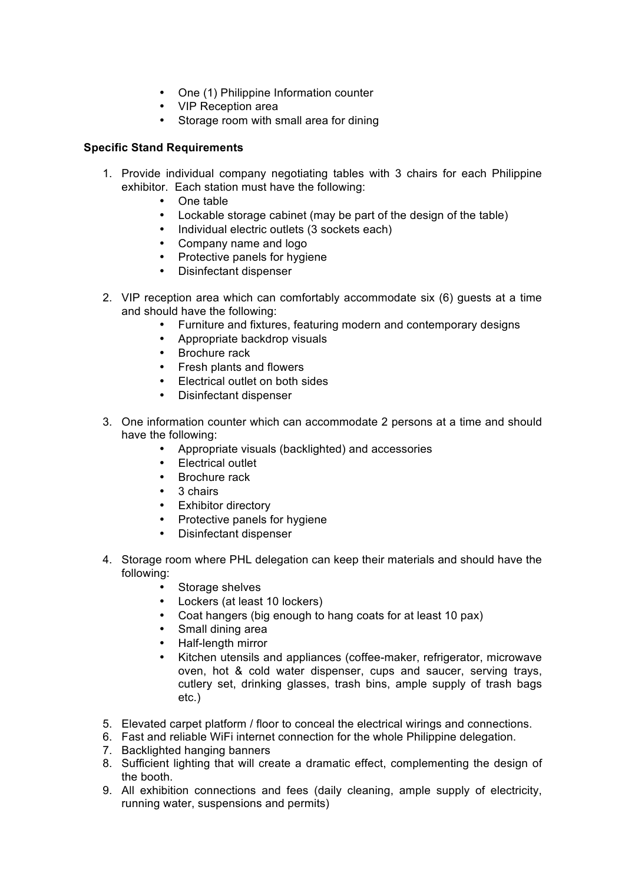- One (1) Philippine Information counter
- VIP Reception area
- Storage room with small area for dining

# **Specific Stand Requirements**

- 1. Provide individual company negotiating tables with 3 chairs for each Philippine exhibitor. Each station must have the following:
	- One table
	- Lockable storage cabinet (may be part of the design of the table)
	- Individual electric outlets (3 sockets each)
	- Company name and logo
	- Protective panels for hygiene
	- Disinfectant dispenser
- 2. VIP reception area which can comfortably accommodate six (6) guests at a time and should have the following:
	- Furniture and fixtures, featuring modern and contemporary designs
	- Appropriate backdrop visuals
	- Brochure rack
	- Fresh plants and flowers
	- Electrical outlet on both sides
	- Disinfectant dispenser
- 3. One information counter which can accommodate 2 persons at a time and should have the following:
	- Appropriate visuals (backlighted) and accessories
	- Electrical outlet
	- Brochure rack
	- 3 chairs
	- Exhibitor directory
	- Protective panels for hygiene
	- Disinfectant dispenser
- 4. Storage room where PHL delegation can keep their materials and should have the following:
	- Storage shelves
	- Lockers (at least 10 lockers)
	- Coat hangers (big enough to hang coats for at least 10 pax)
	- Small dining area
	- Half-length mirror
	- Kitchen utensils and appliances (coffee-maker, refrigerator, microwave oven, hot & cold water dispenser, cups and saucer, serving trays, cutlery set, drinking glasses, trash bins, ample supply of trash bags etc.)
- 5. Elevated carpet platform / floor to conceal the electrical wirings and connections.
- 6. Fast and reliable WiFi internet connection for the whole Philippine delegation.
- 7. Backlighted hanging banners
- 8. Sufficient lighting that will create a dramatic effect, complementing the design of the booth.
- 9. All exhibition connections and fees (daily cleaning, ample supply of electricity, running water, suspensions and permits)